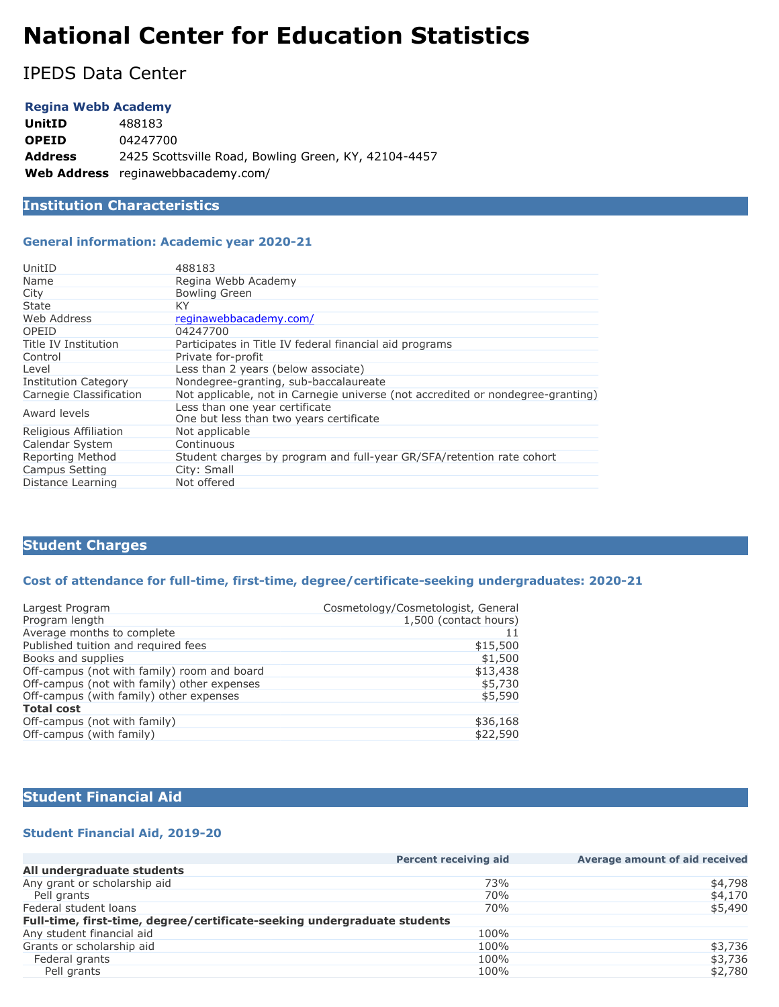# **National Center for Education Statistics**

IPEDS Data Center

## **Regina Webb Academy**

| <b>UnitID</b>  | 488183                                               |
|----------------|------------------------------------------------------|
| <b>OPEID</b>   | 04247700                                             |
| <b>Address</b> | 2425 Scottsville Road, Bowling Green, KY, 42104-4457 |
|                | <b>Web Address</b> reginawebbacademy.com/            |

# **Institution Characteristics**

### **General information: Academic year 2020-21**

| UnitID                      | 488183                                                                          |
|-----------------------------|---------------------------------------------------------------------------------|
| Name                        | Regina Webb Academy                                                             |
| City                        | <b>Bowling Green</b>                                                            |
| State                       | ΚY                                                                              |
| Web Address                 | reginawebbacademy.com/                                                          |
| OPEID                       | 04247700                                                                        |
| Title IV Institution        | Participates in Title IV federal financial aid programs                         |
| Control                     | Private for-profit                                                              |
| Level                       | Less than 2 years (below associate)                                             |
| <b>Institution Category</b> | Nondegree-granting, sub-baccalaureate                                           |
| Carnegie Classification     | Not applicable, not in Carnegie universe (not accredited or nondegree-granting) |
| Award levels                | Less than one year certificate<br>One but less than two years certificate       |
| Religious Affiliation       | Not applicable                                                                  |
| Calendar System             | Continuous                                                                      |
| Reporting Method            | Student charges by program and full-year GR/SFA/retention rate cohort           |
| Campus Setting              | City: Small                                                                     |
| Distance Learning           | Not offered                                                                     |

# **Student Charges**

### **Cost of attendance for full-time, first-time, degree/certificate-seeking undergraduates: 2020-21**

| Largest Program                             | Cosmetology/Cosmetologist, General |
|---------------------------------------------|------------------------------------|
| Program length                              | 1,500 (contact hours)              |
| Average months to complete                  |                                    |
| Published tuition and required fees         | \$15,500                           |
| Books and supplies                          | \$1,500                            |
| Off-campus (not with family) room and board | \$13,438                           |
| Off-campus (not with family) other expenses | \$5,730                            |
| Off-campus (with family) other expenses     | \$5,590                            |
| <b>Total cost</b>                           |                                    |
| Off-campus (not with family)                | \$36,168                           |
| Off-campus (with family)                    | \$22,590                           |
|                                             |                                    |

# **Student Financial Aid**

# **Student Financial Aid, 2019-20**

|                                                                          | <b>Percent receiving aid</b> | Average amount of aid received |
|--------------------------------------------------------------------------|------------------------------|--------------------------------|
| All undergraduate students                                               |                              |                                |
| Any grant or scholarship aid                                             | 73%                          | \$4,798                        |
| Pell grants                                                              | 70%                          | \$4,170                        |
| Federal student loans                                                    | 70%                          | \$5,490                        |
| Full-time, first-time, degree/certificate-seeking undergraduate students |                              |                                |
| Any student financial aid                                                | 100%                         |                                |
| Grants or scholarship aid                                                | 100%                         | \$3,736                        |
| Federal grants                                                           | 100%                         | \$3,736                        |
| Pell grants                                                              | 100%                         | \$2,780                        |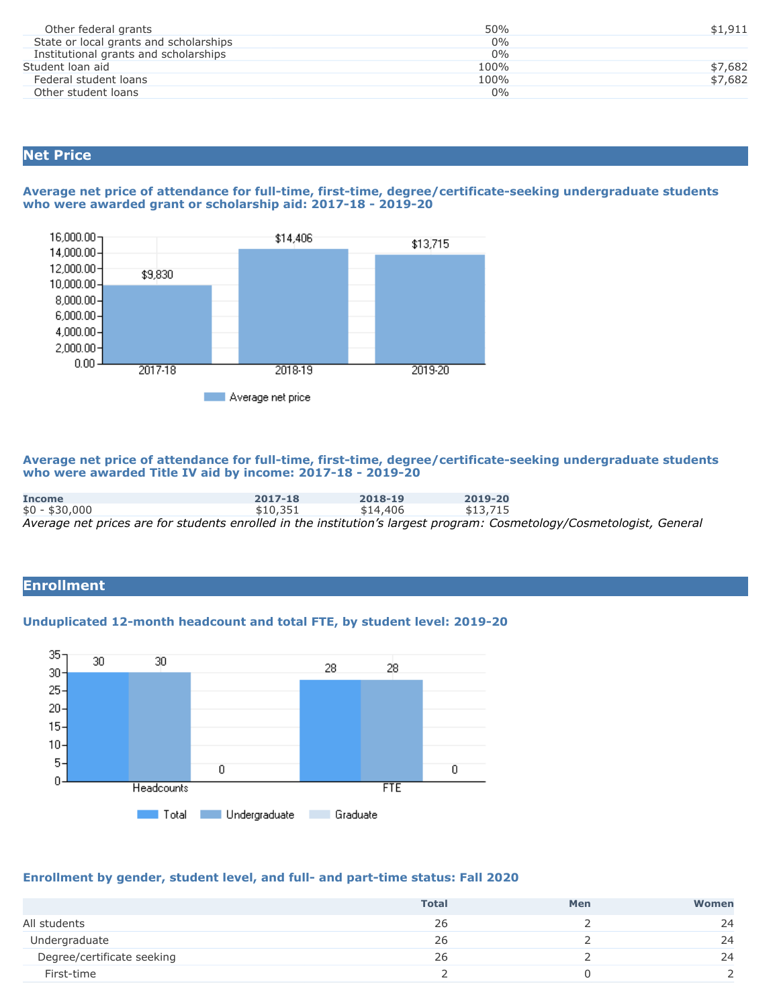| Other federal grants                   | 50%   | \$1,911 |
|----------------------------------------|-------|---------|
| State or local grants and scholarships | $0\%$ |         |
| Institutional grants and scholarships  | $0\%$ |         |
| Student loan aid                       | 100%  | \$7,682 |
| Federal student loans                  | 100%  | \$7,682 |
| Other student loans                    | 0%    |         |

# **Net Price**

### **Average net price of attendance for full-time, first-time, degree/certificate-seeking undergraduate students who were awarded grant or scholarship aid: 2017-18 - 2019-20**



**Average net price of attendance for full-time, first-time, degree/certificate-seeking undergraduate students who were awarded Title IV aid by income: 2017-18 - 2019-20**

| <b>Income</b>  | 2017-18  | 2018-19  | 2019-20                                                                                                               |
|----------------|----------|----------|-----------------------------------------------------------------------------------------------------------------------|
| $$0 - $30,000$ | \$10.351 | \$14,406 | \$13.715                                                                                                              |
|                |          |          | Average net prices are for students enrolled in the institution's largest program: Cosmetology/Cosmetologist, General |

# **Enrollment**

## **Unduplicated 12-month headcount and total FTE, by student level: 2019-20**



# **Enrollment by gender, student level, and full- and part-time status: Fall 2020**

|                            | <b>Total</b> | Men | Women |
|----------------------------|--------------|-----|-------|
| All students               | 26           |     | 24    |
| Undergraduate              | 26           |     | 24    |
| Degree/certificate seeking | 26           |     | 24    |
| First-time                 |              |     |       |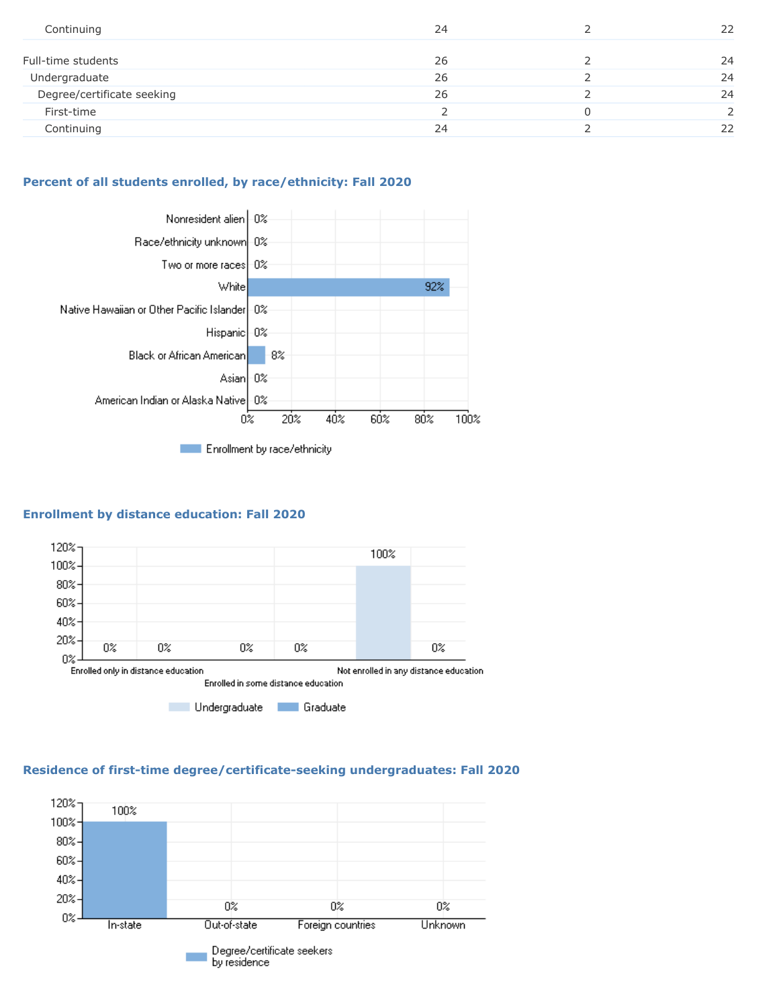| Continuing                 | 24 | 22            |
|----------------------------|----|---------------|
| Full-time students         | 26 | 24            |
| Undergraduate              | 26 | 24            |
| Degree/certificate seeking | 26 | 24            |
| First-time                 |    | $\mathcal{D}$ |
| Continuing                 | 24 | 22            |
|                            |    |               |

# **Percent of all students enrolled, by race/ethnicity: Fall 2020**



# **Enrollment by distance education: Fall 2020**



# **Residence of first-time degree/certificate-seeking undergraduates: Fall 2020**

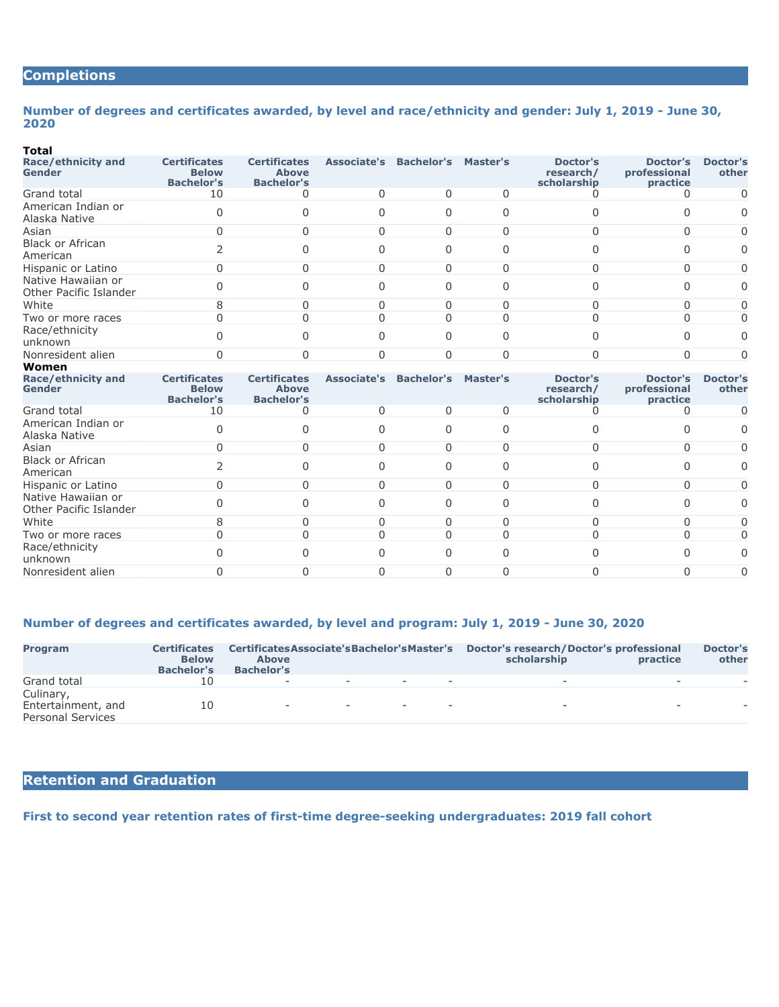# **Completions**

#### **Number of degrees and certificates awarded, by level and race/ethnicity and gender: July 1, 2019 - June 30, 2020**

#### **Total**

| .                                            |                                                          |                                                          |                               |              |          |                                      |                                      |                          |
|----------------------------------------------|----------------------------------------------------------|----------------------------------------------------------|-------------------------------|--------------|----------|--------------------------------------|--------------------------------------|--------------------------|
| Race/ethnicity and<br>Gender                 | <b>Certificates</b><br><b>Below</b><br><b>Bachelor's</b> | <b>Certificates</b><br><b>Above</b><br><b>Bachelor's</b> | <b>Associate's Bachelor's</b> |              | Master's | Doctor's<br>research/<br>scholarship | Doctor's<br>professional<br>practice | <b>Doctor's</b><br>other |
| Grand total                                  | 10                                                       |                                                          |                               | <sup>0</sup> | 0        |                                      |                                      | 0                        |
| American Indian or<br>Alaska Native          |                                                          |                                                          |                               | $\Omega$     |          |                                      |                                      | 0                        |
| Asian                                        |                                                          |                                                          |                               | $\Omega$     | 0        |                                      | 0                                    | 0                        |
| <b>Black or African</b><br>American          |                                                          |                                                          |                               | 0            |          |                                      | $\Omega$                             | 0                        |
| Hispanic or Latino                           |                                                          |                                                          |                               | <sup>0</sup> |          |                                      | $\Omega$                             | 0                        |
| Native Hawaiian or<br>Other Pacific Islander |                                                          |                                                          |                               | $\Omega$     |          |                                      |                                      | 0                        |
| White                                        |                                                          |                                                          |                               | <sup>0</sup> |          |                                      | 0                                    | 0                        |
| Two or more races                            |                                                          |                                                          |                               | <sup>0</sup> |          |                                      |                                      | 0                        |
| Race/ethnicity<br>unknown                    |                                                          |                                                          |                               | 0            |          |                                      |                                      | 0                        |
| Nonresident alien                            |                                                          |                                                          |                               | $\Omega$     |          |                                      | $\Omega$                             | 0                        |
| Women                                        |                                                          |                                                          |                               |              |          |                                      |                                      |                          |

| Race/ethnicity and<br>Gender                 | <b>Certificates</b><br><b>Below</b><br><b>Bachelor's</b> | <b>Certificates</b><br><b>Above</b><br><b>Bachelor's</b> | <b>Associate's Bachelor's</b> | <b>Master's</b> | Doctor's<br>research/<br>scholarship | Doctor's<br>professional<br>practice | <b>Doctor's</b><br>other |
|----------------------------------------------|----------------------------------------------------------|----------------------------------------------------------|-------------------------------|-----------------|--------------------------------------|--------------------------------------|--------------------------|
| Grand total                                  | 10                                                       |                                                          |                               |                 |                                      |                                      | O.                       |
| American Indian or<br>Alaska Native          |                                                          |                                                          |                               |                 |                                      |                                      | 0                        |
| Asian                                        |                                                          |                                                          |                               |                 |                                      | 0                                    | 0                        |
| <b>Black or African</b><br>American          |                                                          |                                                          |                               |                 |                                      |                                      | 0                        |
| Hispanic or Latino                           |                                                          |                                                          |                               |                 |                                      | $\Omega$                             | 0                        |
| Native Hawaiian or<br>Other Pacific Islander |                                                          |                                                          |                               |                 |                                      |                                      | 0                        |
| White                                        |                                                          |                                                          |                               |                 |                                      |                                      |                          |
| Two or more races                            |                                                          |                                                          |                               |                 |                                      |                                      | 0                        |
| Race/ethnicity<br>unknown                    |                                                          |                                                          |                               |                 |                                      |                                      | 0                        |
| Nonresident alien                            |                                                          |                                                          |                               |                 |                                      |                                      | 0                        |
|                                              |                                                          |                                                          |                               |                 |                                      |                                      |                          |

## **Number of degrees and certificates awarded, by level and program: July 1, 2019 - June 30, 2020**

| <b>Program</b>                                              | <b>Certificates</b><br><b>Below</b><br><b>Bachelor's</b> | Certificates Associate's Bachelor's Master's<br><b>Above</b><br><b>Bachelor's</b> |                          |                                  |                          | Doctor's research/Doctor's professional<br>scholarship | <b>practice</b>          | Doctor's<br>other        |
|-------------------------------------------------------------|----------------------------------------------------------|-----------------------------------------------------------------------------------|--------------------------|----------------------------------|--------------------------|--------------------------------------------------------|--------------------------|--------------------------|
| Grand total                                                 | 10                                                       | $\sim$                                                                            | $\overline{\phantom{a}}$ | the company's company's property |                          |                                                        | $\overline{\phantom{a}}$ | $\overline{\phantom{a}}$ |
| Culinary,<br>Entertainment, and<br><b>Personal Services</b> | 10                                                       | $\sim$                                                                            | $\sim$                   | $\sim$                           | $\overline{\phantom{0}}$ | $\sim$                                                 | $\overline{\phantom{a}}$ |                          |

# **Retention and Graduation**

**First to second year retention rates of first-time degree-seeking undergraduates: 2019 fall cohort**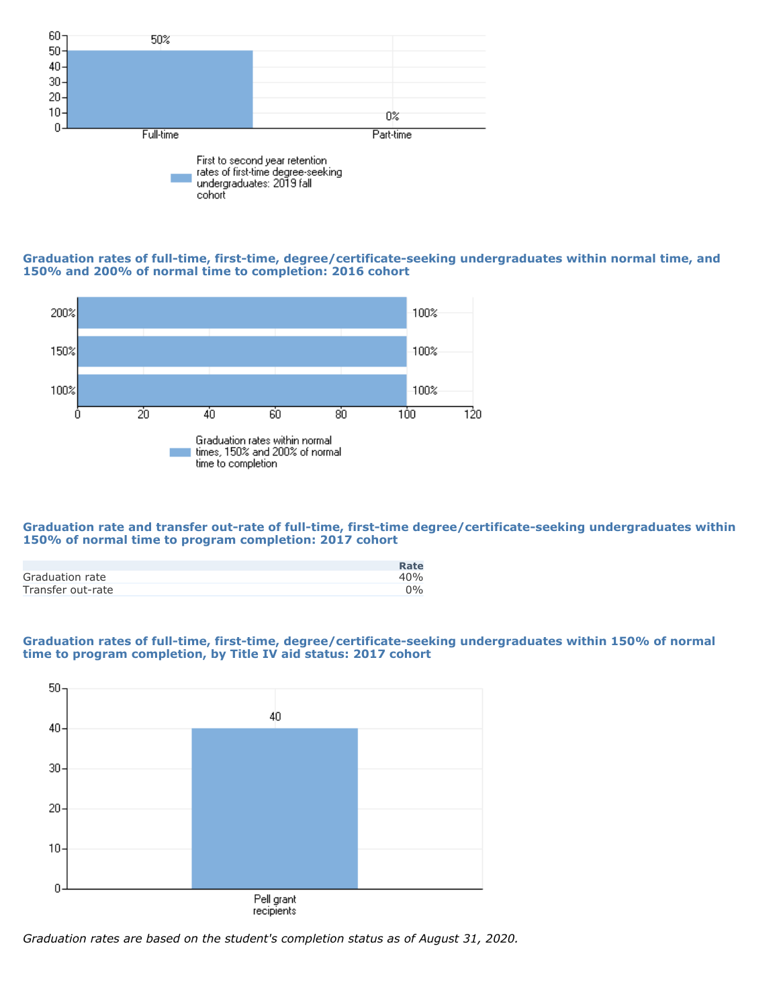

#### **Graduation rates of full-time, first-time, degree/certificate-seeking undergraduates within normal time, and 150% and 200% of normal time to completion: 2016 cohort**



### **Graduation rate and transfer out-rate of full-time, first-time degree/certificate-seeking undergraduates within 150% of normal time to program completion: 2017 cohort**

|                   | Rate  |
|-------------------|-------|
| Graduation rate   | 40%   |
| Transfer out-rate | $0\%$ |

### **Graduation rates of full-time, first-time, degree/certificate-seeking undergraduates within 150% of normal time to program completion, by Title IV aid status: 2017 cohort**



*Graduation rates are based on the student's completion status as of August 31, 2020.*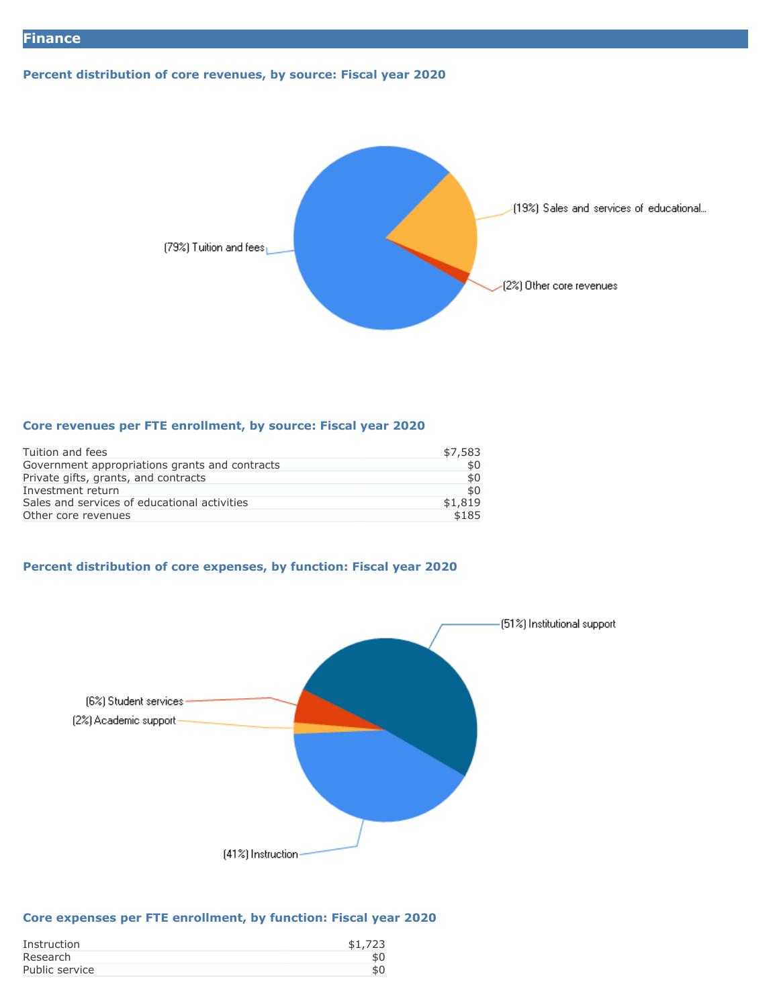# **Percent distribution of core revenues, by source: Fiscal year 2020**



#### **Core revenues per FTE enrollment, by source: Fiscal year 2020**

| Tuition and fees                               | \$7,583 |
|------------------------------------------------|---------|
| Government appropriations grants and contracts | \$0     |
| Private gifts, grants, and contracts           | \$0     |
| Investment return                              | \$0     |
| Sales and services of educational activities   | \$1,819 |
| Other core revenues                            | \$185   |
|                                                |         |

# **Percent distribution of core expenses, by function: Fiscal year 2020**



### **Core expenses per FTE enrollment, by function: Fiscal year 2020**

| Instruction    | \$1,723 |
|----------------|---------|
| Research       |         |
| Public service |         |